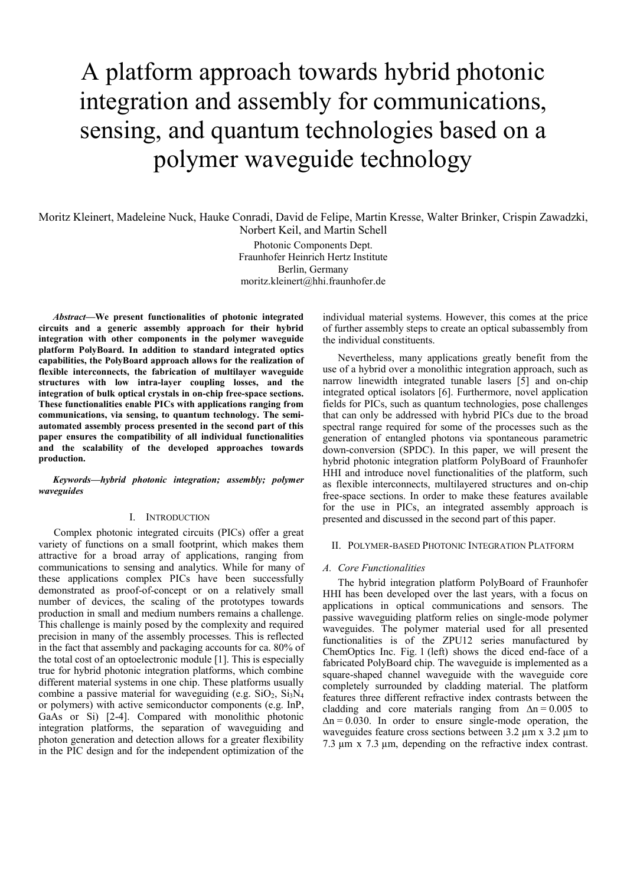# A platform approach towards hybrid photonic integration and assembly for communications, sensing, and quantum technologies based on a polymer waveguide technology

Moritz Kleinert, Madeleine Nuck, Hauke Conradi, David de Felipe, Martin Kresse, Walter Brinker, Crispin Zawadzki, Norbert Keil, and Martin Schell

> Photonic Components Dept. Fraunhofer Heinrich Hertz Institute Berlin, Germany moritz.kleinert@hhi.fraunhofer.de

*Abstract***—We present functionalities of photonic integrated circuits and a generic assembly approach for their hybrid integration with other components in the polymer waveguide platform PolyBoard. In addition to standard integrated optics capabilities, the PolyBoard approach allows for the realization of flexible interconnects, the fabrication of multilayer waveguide structures with low intra-layer coupling losses, and the integration of bulk optical crystals in on-chip free-space sections. These functionalities enable PICs with applications ranging from communications, via sensing, to quantum technology. The semiautomated assembly process presented in the second part of this paper ensures the compatibility of all individual functionalities and the scalability of the developed approaches towards production.**

*Keywords—hybrid photonic integration; assembly; polymer waveguides*

#### I. INTRODUCTION

Complex photonic integrated circuits (PICs) offer a great variety of functions on a small footprint, which makes them attractive for a broad array of applications, ranging from communications to sensing and analytics. While for many of these applications complex PICs have been successfully demonstrated as proof-of-concept or on a relatively small number of devices, the scaling of the prototypes towards production in small and medium numbers remains a challenge. This challenge is mainly posed by the complexity and required precision in many of the assembly processes. This is reflected in the fact that assembly and packaging accounts for ca. 80% of the total cost of an optoelectronic module [1]. This is especially true for hybrid photonic integration platforms, which combine different material systems in one chip. These platforms usually combine a passive material for waveguiding (e.g.  $SiO<sub>2</sub>$ ,  $Si<sub>3</sub>N<sub>4</sub>$ or polymers) with active semiconductor components (e.g. InP, GaAs or Si) [2-4]. Compared with monolithic photonic integration platforms, the separation of waveguiding and photon generation and detection allows for a greater flexibility in the PIC design and for the independent optimization of the

individual material systems. However, this comes at the price of further assembly steps to create an optical subassembly from the individual constituents.

Nevertheless, many applications greatly benefit from the use of a hybrid over a monolithic integration approach, such as narrow linewidth integrated tunable lasers [5] and on-chip integrated optical isolators [6]. Furthermore, novel application fields for PICs, such as quantum technologies, pose challenges that can only be addressed with hybrid PICs due to the broad spectral range required for some of the processes such as the generation of entangled photons via spontaneous parametric down-conversion (SPDC). In this paper, we will present the hybrid photonic integration platform PolyBoard of Fraunhofer HHI and introduce novel functionalities of the platform, such as flexible interconnects, multilayered structures and on-chip free-space sections. In order to make these features available for the use in PICs, an integrated assembly approach is presented and discussed in the second part of this paper.

### II. POLYMER-BASED PHOTONIC INTEGRATION PLATFORM

#### *A. Core Functionalities*

The hybrid integration platform PolyBoard of Fraunhofer HHI has been developed over the last years, with a focus on applications in optical communications and sensors. The passive waveguiding platform relies on single-mode polymer waveguides. The polymer material used for all presented functionalities is of the ZPU12 series manufactured by ChemOptics Inc. Fig. 1 (left) shows the diced end-face of a fabricated PolyBoard chip. The waveguide is implemented as a square-shaped channel waveguide with the waveguide core completely surrounded by cladding material. The platform features three different refractive index contrasts between the cladding and core materials ranging from  $\Delta n = 0.005$  to  $\Delta n = 0.030$ . In order to ensure single-mode operation, the waveguides feature cross sections between 3.2  $\mu$ m x 3.2  $\mu$ m to 7.3 µm x 7.3 µm, depending on the refractive index contrast.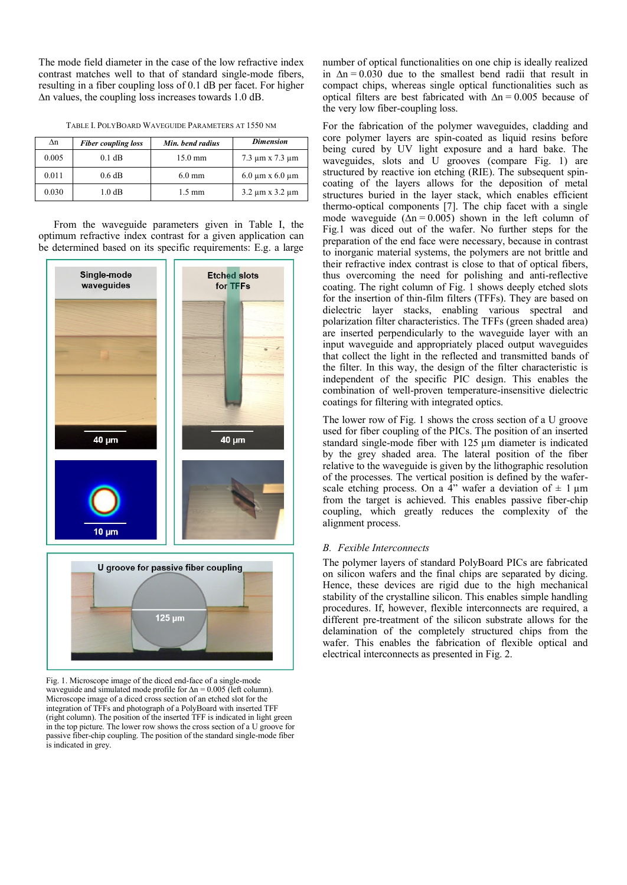The mode field diameter in the case of the low refractive index contrast matches well to that of standard single-mode fibers, resulting in a fiber coupling loss of 0.1 dB per facet. For higher ∆n values, the coupling loss increases towards 1.0 dB.

|  | TABLE I. POLYBOARD WAVEGUIDE PARAMETERS AT 1550 NM |  |
|--|----------------------------------------------------|--|
|--|----------------------------------------------------|--|

| Λn    | <b>Fiber coupling loss</b> | Min. bend radius  | <b>Dimension</b>             |
|-------|----------------------------|-------------------|------------------------------|
| 0.005 | $0.1$ dB                   | $15.0 \text{ mm}$ | $7.3 \mu m \times 7.3 \mu m$ |
| 0.011 | $0.6$ dB                   | $6.0 \text{ mm}$  | $6.0 \mu m \times 6.0 \mu m$ |
| 0.030 | $1.0\text{ dB}$            | $1.5 \text{ mm}$  | $3.2 \mu m \times 3.2 \mu m$ |

From the waveguide parameters given in Table I, the optimum refractive index contrast for a given application can be determined based on its specific requirements: E.g. a large



Fig. 1. Microscope image of the diced end-face of a single-mode waveguide and simulated mode profile for ∆n = 0.005 (left column). Microscope image of a diced cross section of an etched slot for the integration of TFFs and photograph of a PolyBoard with inserted TFF (right column). The position of the inserted TFF is indicated in light green in the top picture. The lower row shows the cross section of a U groove for passive fiber-chip coupling. The position of the standard single-mode fiber is indicated in grey.

number of optical functionalities on one chip is ideally realized in  $\Delta n = 0.030$  due to the smallest bend radii that result in compact chips, whereas single optical functionalities such as optical filters are best fabricated with  $\Delta n = 0.005$  because of the very low fiber-coupling loss.

For the fabrication of the polymer waveguides, cladding and core polymer layers are spin-coated as liquid resins before being cured by UV light exposure and a hard bake. The waveguides, slots and U grooves (compare Fig. 1) are structured by reactive ion etching (RIE). The subsequent spincoating of the layers allows for the deposition of metal structures buried in the layer stack, which enables efficient thermo-optical components [7]. The chip facet with a single mode waveguide  $(\Delta n = 0.005)$  shown in the left column of Fig.1 was diced out of the wafer. No further steps for the preparation of the end face were necessary, because in contrast to inorganic material systems, the polymers are not brittle and their refractive index contrast is close to that of optical fibers, thus overcoming the need for polishing and anti-reflective coating. The right column of Fig. 1 shows deeply etched slots for the insertion of thin-film filters (TFFs). They are based on dielectric layer stacks, enabling various spectral and polarization filter characteristics. The TFFs (green shaded area) are inserted perpendicularly to the waveguide layer with an input waveguide and appropriately placed output waveguides that collect the light in the reflected and transmitted bands of the filter. In this way, the design of the filter characteristic is independent of the specific PIC design. This enables the combination of well-proven temperature-insensitive dielectric coatings for filtering with integrated optics.

The lower row of Fig. 1 shows the cross section of a U groove used for fiber coupling of the PICs. The position of an inserted standard single-mode fiber with 125  $\mu$ m diameter is indicated by the grey shaded area. The lateral position of the fiber relative to the waveguide is given by the lithographic resolution of the processes. The vertical position is defined by the waferscale etching process. On a  $4$ " wafer a deviation of  $\pm$  1 µm from the target is achieved. This enables passive fiber-chip coupling, which greatly reduces the complexity of the alignment process.

#### *B. Fexible Interconnects*

The polymer layers of standard PolyBoard PICs are fabricated on silicon wafers and the final chips are separated by dicing. Hence, these devices are rigid due to the high mechanical stability of the crystalline silicon. This enables simple handling procedures. If, however, flexible interconnects are required, a different pre-treatment of the silicon substrate allows for the delamination of the completely structured chips from the wafer. This enables the fabrication of flexible optical and electrical interconnects as presented in Fig. 2.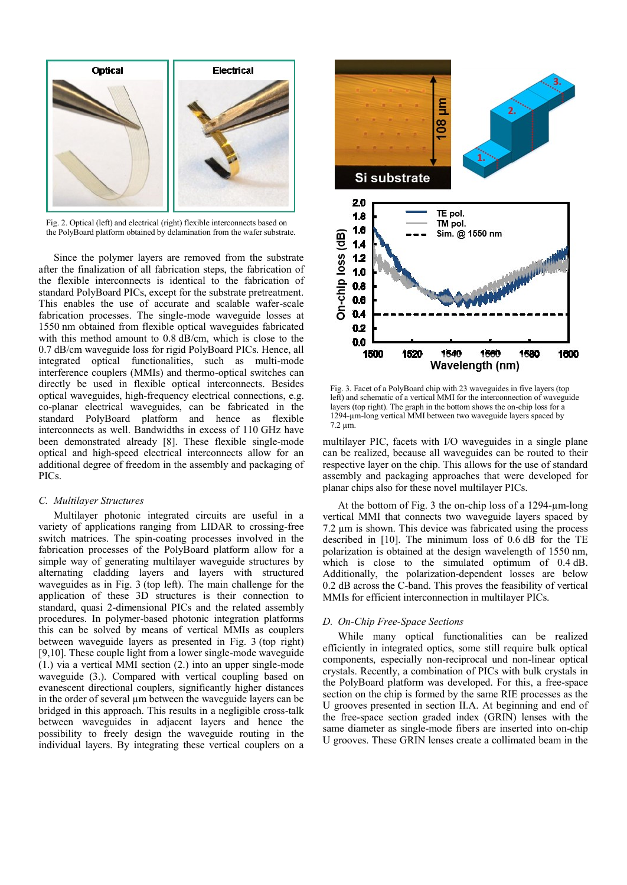

Fig. 2. Optical (left) and electrical (right) flexible interconnects based on the PolyBoard platform obtained by delamination from the wafer substrate.

Since the polymer layers are removed from the substrate after the finalization of all fabrication steps, the fabrication of the flexible interconnects is identical to the fabrication of standard PolyBoard PICs, except for the substrate pretreatment. This enables the use of accurate and scalable wafer-scale fabrication processes. The single-mode waveguide losses at 1550 nm obtained from flexible optical waveguides fabricated with this method amount to 0.8 dB/cm, which is close to the 0.7 dB/cm waveguide loss for rigid PolyBoard PICs. Hence, all integrated optical functionalities, such as multi-mode interference couplers (MMIs) and thermo-optical switches can directly be used in flexible optical interconnects. Besides optical waveguides, high-frequency electrical connections, e.g. co-planar electrical waveguides, can be fabricated in the standard PolyBoard platform and hence as flexible interconnects as well. Bandwidths in excess of 110 GHz have been demonstrated already [8]. These flexible single-mode optical and high-speed electrical interconnects allow for an additional degree of freedom in the assembly and packaging of PICs.

## *C. Multilayer Structures*

Multilayer photonic integrated circuits are useful in a variety of applications ranging from LIDAR to crossing-free switch matrices. The spin-coating processes involved in the fabrication processes of the PolyBoard platform allow for a simple way of generating multilayer waveguide structures by alternating cladding layers and layers with structured waveguides as in Fig. 3 (top left). The main challenge for the application of these 3D structures is their connection to standard, quasi 2-dimensional PICs and the related assembly procedures. In polymer-based photonic integration platforms this can be solved by means of vertical MMIs as couplers between waveguide layers as presented in Fig. 3 (top right) [9,10]. These couple light from a lower single-mode waveguide (1.) via a vertical MMI section (2.) into an upper single-mode waveguide (3.). Compared with vertical coupling based on evanescent directional couplers, significantly higher distances in the order of several µm between the waveguide layers can be bridged in this approach. This results in a negligible cross-talk between waveguides in adjacent layers and hence the possibility to freely design the waveguide routing in the individual layers. By integrating these vertical couplers on a



Fig. 3. Facet of a PolyBoard chip with 23 waveguides in five layers (top left) and schematic of a vertical MMI for the interconnection of waveguide layers (top right). The graph in the bottom shows the on-chip loss for a 1294-µm-long vertical MMI between two waveguide layers spaced by 7.2 µm.

multilayer PIC, facets with I/O waveguides in a single plane can be realized, because all waveguides can be routed to their respective layer on the chip. This allows for the use of standard assembly and packaging approaches that were developed for planar chips also for these novel multilayer PICs.

At the bottom of Fig. 3 the on-chip loss of a 1294-µm-long vertical MMI that connects two waveguide layers spaced by 7.2 µm is shown. This device was fabricated using the process described in [10]. The minimum loss of 0.6 dB for the TE polarization is obtained at the design wavelength of 1550 nm, which is close to the simulated optimum of  $0.4$  dB. Additionally, the polarization-dependent losses are below 0.2 dB across the C-band. This proves the feasibility of vertical MMIs for efficient interconnection in multilayer PICs.

#### *D. On-Chip Free-Space Sections*

While many optical functionalities can be realized efficiently in integrated optics, some still require bulk optical components, especially non-reciprocal und non-linear optical crystals. Recently, a combination of PICs with bulk crystals in the PolyBoard platform was developed. For this, a free-space section on the chip is formed by the same RIE processes as the U grooves presented in section II.A. At beginning and end of the free-space section graded index (GRIN) lenses with the same diameter as single-mode fibers are inserted into on-chip U grooves. These GRIN lenses create a collimated beam in the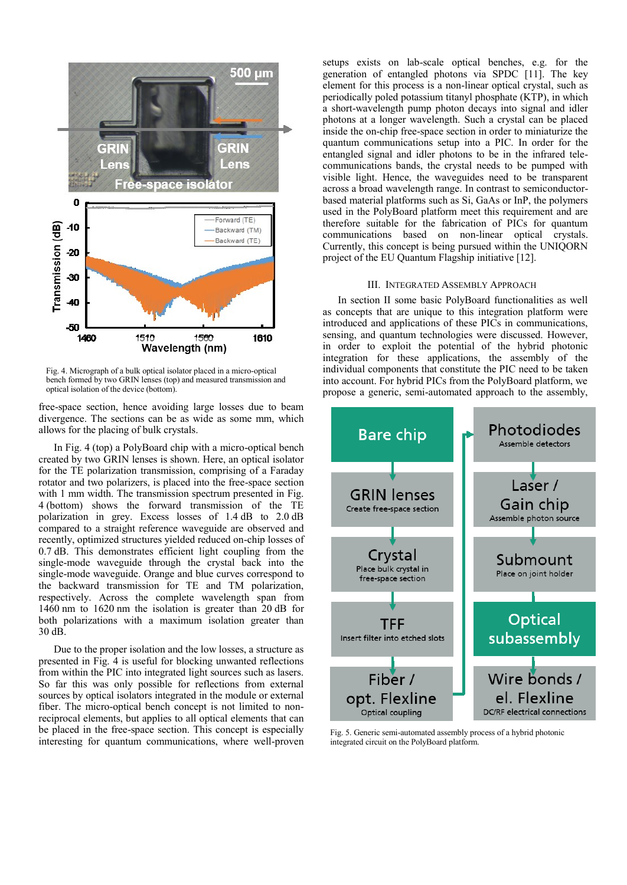

Fig. 4. Micrograph of a bulk optical isolator placed in a micro-optical bench formed by two GRIN lenses (top) and measured transmission and optical isolation of the device (bottom).

free-space section, hence avoiding large losses due to beam divergence. The sections can be as wide as some mm, which allows for the placing of bulk crystals.

In Fig. 4 (top) a PolyBoard chip with a micro-optical bench created by two GRIN lenses is shown. Here, an optical isolator for the TE polarization transmission, comprising of a Faraday rotator and two polarizers, is placed into the free-space section with 1 mm width. The transmission spectrum presented in Fig. 4 (bottom) shows the forward transmission of the TE polarization in grey. Excess losses of 1.4 dB to 2.0 dB compared to a straight reference waveguide are observed and recently, optimized structures yielded reduced on-chip losses of 0.7 dB. This demonstrates efficient light coupling from the single-mode waveguide through the crystal back into the single-mode waveguide. Orange and blue curves correspond to the backward transmission for TE and TM polarization, respectively. Across the complete wavelength span from 1460 nm to 1620 nm the isolation is greater than 20 dB for both polarizations with a maximum isolation greater than 30 dB.

Due to the proper isolation and the low losses, a structure as presented in Fig. 4 is useful for blocking unwanted reflections from within the PIC into integrated light sources such as lasers. So far this was only possible for reflections from external sources by optical isolators integrated in the module or external fiber. The micro-optical bench concept is not limited to nonreciprocal elements, but applies to all optical elements that can be placed in the free-space section. This concept is especially interesting for quantum communications, where well-proven

setups exists on lab-scale optical benches, e.g. for the generation of entangled photons via SPDC [11]. The key element for this process is a non-linear optical crystal, such as periodically poled potassium titanyl phosphate (KTP), in which a short-wavelength pump photon decays into signal and idler photons at a longer wavelength. Such a crystal can be placed inside the on-chip free-space section in order to miniaturize the quantum communications setup into a PIC. In order for the entangled signal and idler photons to be in the infrared telecommunications bands, the crystal needs to be pumped with visible light. Hence, the waveguides need to be transparent across a broad wavelength range. In contrast to semiconductorbased material platforms such as Si, GaAs or InP, the polymers used in the PolyBoard platform meet this requirement and are therefore suitable for the fabrication of PICs for quantum communications based on non-linear optical crystals. Currently, this concept is being pursued within the UNIQORN project of the EU Quantum Flagship initiative [12].

### III. INTEGRATED ASSEMBLY APPROACH

In section II some basic PolyBoard functionalities as well as concepts that are unique to this integration platform were introduced and applications of these PICs in communications, sensing, and quantum technologies were discussed. However, in order to exploit the potential of the hybrid photonic integration for these applications, the assembly of the individual components that constitute the PIC need to be taken into account. For hybrid PICs from the PolyBoard platform, we propose a generic, semi-automated approach to the assembly,



Fig. 5. Generic semi-automated assembly process of a hybrid photonic integrated circuit on the PolyBoard platform.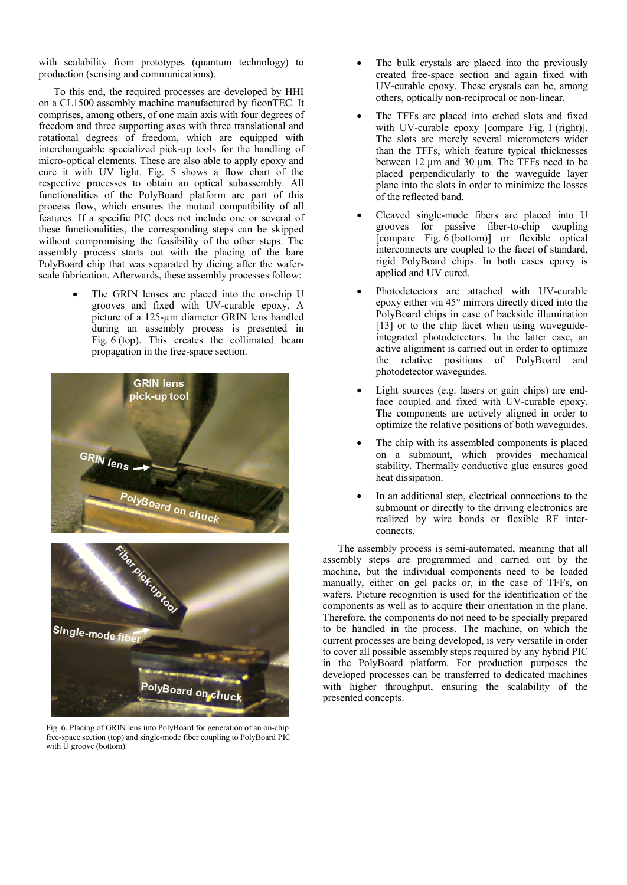with scalability from prototypes (quantum technology) to production (sensing and communications).

To this end, the required processes are developed by HHI on a CL1500 assembly machine manufactured by ficonTEC. It comprises, among others, of one main axis with four degrees of freedom and three supporting axes with three translational and rotational degrees of freedom, which are equipped with interchangeable specialized pick-up tools for the handling of micro-optical elements. These are also able to apply epoxy and cure it with UV light. Fig. 5 shows a flow chart of the respective processes to obtain an optical subassembly. All functionalities of the PolyBoard platform are part of this process flow, which ensures the mutual compatibility of all features. If a specific PIC does not include one or several of these functionalities, the corresponding steps can be skipped without compromising the feasibility of the other steps. The assembly process starts out with the placing of the bare PolyBoard chip that was separated by dicing after the waferscale fabrication. Afterwards, these assembly processes follow:

> The GRIN lenses are placed into the on-chip U grooves and fixed with UV-curable epoxy. A picture of a 125-µm diameter GRIN lens handled during an assembly process is presented in Fig.  $6$  (top). This creates the collimated beam propagation in the free-space section.



Fig. 6. Placing of GRIN lens into PolyBoard for generation of an on-chip free-space section (top) and single-mode fiber coupling to PolyBoard PIC with U groove (bottom).

- The bulk crystals are placed into the previously created free-space section and again fixed with UV-curable epoxy. These crystals can be, among others, optically non-reciprocal or non-linear.
- The TFFs are placed into etched slots and fixed with UV-curable epoxy [compare Fig. 1 (right)]. The slots are merely several micrometers wider than the TFFs, which feature typical thicknesses between 12 um and 30 um. The TFFs need to be placed perpendicularly to the waveguide layer plane into the slots in order to minimize the losses of the reflected band.
- Cleaved single-mode fibers are placed into U grooves for passive fiber-to-chip coupling  $[compare$  Fig.  $6$  (bottom)] or flexible optical interconnects are coupled to the facet of standard, rigid PolyBoard chips. In both cases epoxy is applied and UV cured.
- Photodetectors are attached with UV-curable epoxy either via 45° mirrors directly diced into the PolyBoard chips in case of backside illumination [13] or to the chip facet when using waveguideintegrated photodetectors. In the latter case, an active alignment is carried out in order to optimize the relative positions of PolyBoard and photodetector waveguides.
- Light sources (e.g. lasers or gain chips) are endface coupled and fixed with UV-curable epoxy. The components are actively aligned in order to optimize the relative positions of both waveguides.
- The chip with its assembled components is placed on a submount, which provides mechanical stability. Thermally conductive glue ensures good heat dissipation.
- In an additional step, electrical connections to the submount or directly to the driving electronics are realized by wire bonds or flexible RF interconnects.

The assembly process is semi-automated, meaning that all assembly steps are programmed and carried out by the machine, but the individual components need to be loaded manually, either on gel packs or, in the case of TFFs, on wafers. Picture recognition is used for the identification of the components as well as to acquire their orientation in the plane. Therefore, the components do not need to be specially prepared to be handled in the process. The machine, on which the current processes are being developed, is very versatile in order to cover all possible assembly steps required by any hybrid PIC in the PolyBoard platform. For production purposes the developed processes can be transferred to dedicated machines with higher throughput, ensuring the scalability of the presented concepts.